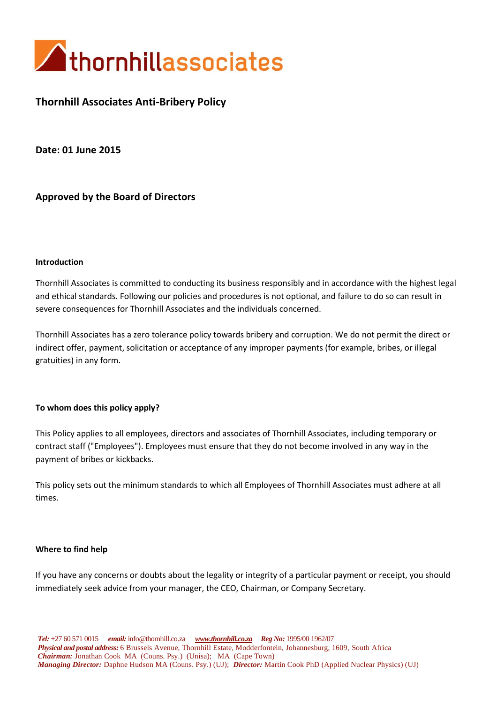

# **Thornhill Associates Anti-Bribery Policy**

**Date: 01 June 2015**

**Approved by the Board of Directors**

### **Introduction**

Thornhill Associates is committed to conducting its business responsibly and in accordance with the highest legal and ethical standards. Following our policies and procedures is not optional, and failure to do so can result in severe consequences for Thornhill Associates and the individuals concerned.

Thornhill Associates has a zero tolerance policy towards bribery and corruption. We do not permit the direct or indirect offer, payment, solicitation or acceptance of any improper payments (for example, bribes, or illegal gratuities) in any form.

### **To whom does this policy apply?**

This Policy applies to all employees, directors and associates of Thornhill Associates, including temporary or contract staff ("Employees"). Employees must ensure that they do not become involved in any way in the payment of bribes or kickbacks.

This policy sets out the minimum standards to which all Employees of Thornhill Associates must adhere at all times.

### **Where to find help**

If you have any concerns or doubts about the legality or integrity of a particular payment or receipt, you should immediately seek advice from your manager, the CEO, Chairman, or Company Secretary.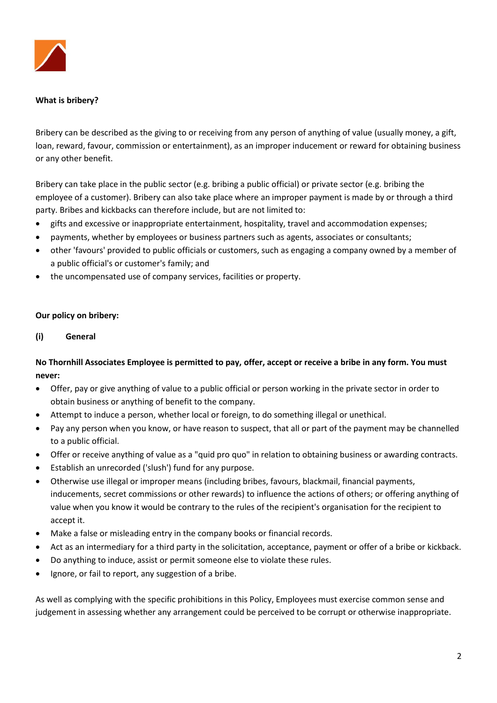

## **What is bribery?**

Bribery can be described as the giving to or receiving from any person of anything of value (usually money, a gift, loan, reward, favour, commission or entertainment), as an improper inducement or reward for obtaining business or any other benefit.

Bribery can take place in the public sector (e.g. bribing a public official) or private sector (e.g. bribing the employee of a customer). Bribery can also take place where an improper payment is made by or through a third party. Bribes and kickbacks can therefore include, but are not limited to:

- gifts and excessive or inappropriate entertainment, hospitality, travel and accommodation expenses;
- payments, whether by employees or business partners such as agents, associates or consultants;
- other 'favours' provided to public officials or customers, such as engaging a company owned by a member of a public official's or customer's family; and
- the uncompensated use of company services, facilities or property.

### **Our policy on bribery:**

**(i) General**

## **No Thornhill Associates Employee is permitted to pay, offer, accept or receive a bribe in any form. You must never:**

- Offer, pay or give anything of value to a public official or person working in the private sector in order to obtain business or anything of benefit to the company.
- Attempt to induce a person, whether local or foreign, to do something illegal or unethical.
- Pay any person when you know, or have reason to suspect, that all or part of the payment may be channelled to a public official.
- Offer or receive anything of value as a "quid pro quo" in relation to obtaining business or awarding contracts.
- Establish an unrecorded ('slush') fund for any purpose.
- Otherwise use illegal or improper means (including bribes, favours, blackmail, financial payments, inducements, secret commissions or other rewards) to influence the actions of others; or offering anything of value when you know it would be contrary to the rules of the recipient's organisation for the recipient to accept it.
- Make a false or misleading entry in the company books or financial records.
- Act as an intermediary for a third party in the solicitation, acceptance, payment or offer of a bribe or kickback.
- Do anything to induce, assist or permit someone else to violate these rules.
- Ignore, or fail to report, any suggestion of a bribe.

As well as complying with the specific prohibitions in this Policy, Employees must exercise common sense and judgement in assessing whether any arrangement could be perceived to be corrupt or otherwise inappropriate.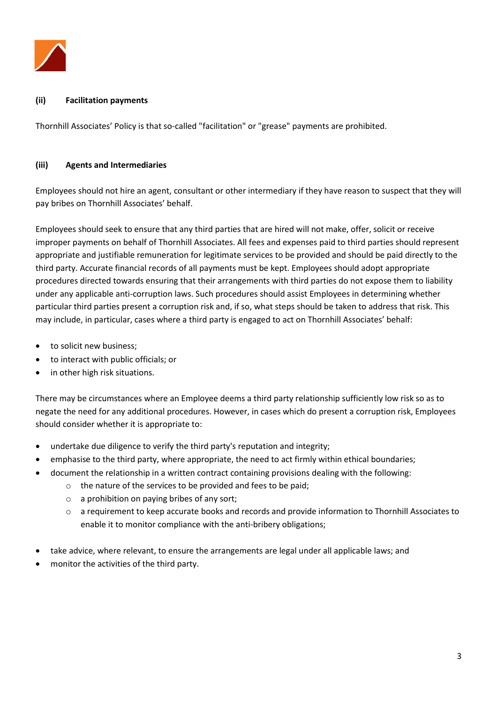

### **(ii) Facilitation payments**

Thornhill Associates' Policy is that so-called "facilitation" or "grease" payments are prohibited.

### **(iii) Agents and Intermediaries**

Employees should not hire an agent, consultant or other intermediary if they have reason to suspect that they will pay bribes on Thornhill Associates' behalf.

Employees should seek to ensure that any third parties that are hired will not make, offer, solicit or receive improper payments on behalf of Thornhill Associates. All fees and expenses paid to third parties should represent appropriate and justifiable remuneration for legitimate services to be provided and should be paid directly to the third party. Accurate financial records of all payments must be kept. Employees should adopt appropriate procedures directed towards ensuring that their arrangements with third parties do not expose them to liability under any applicable anti-corruption laws. Such procedures should assist Employees in determining whether particular third parties present a corruption risk and, if so, what steps should be taken to address that risk. This may include, in particular, cases where a third party is engaged to act on Thornhill Associates' behalf:

- to solicit new business;
- to interact with public officials; or
- in other high risk situations.

There may be circumstances where an Employee deems a third party relationship sufficiently low risk so as to negate the need for any additional procedures. However, in cases which do present a corruption risk, Employees should consider whether it is appropriate to:

- undertake due diligence to verify the third party's reputation and integrity;
- emphasise to the third party, where appropriate, the need to act firmly within ethical boundaries;
- document the relationship in a written contract containing provisions dealing with the following:
	- o the nature of the services to be provided and fees to be paid;
	- o a prohibition on paying bribes of any sort;
	- o a requirement to keep accurate books and records and provide information to Thornhill Associates to enable it to monitor compliance with the anti-bribery obligations;
- take advice, where relevant, to ensure the arrangements are legal under all applicable laws; and
- monitor the activities of the third party.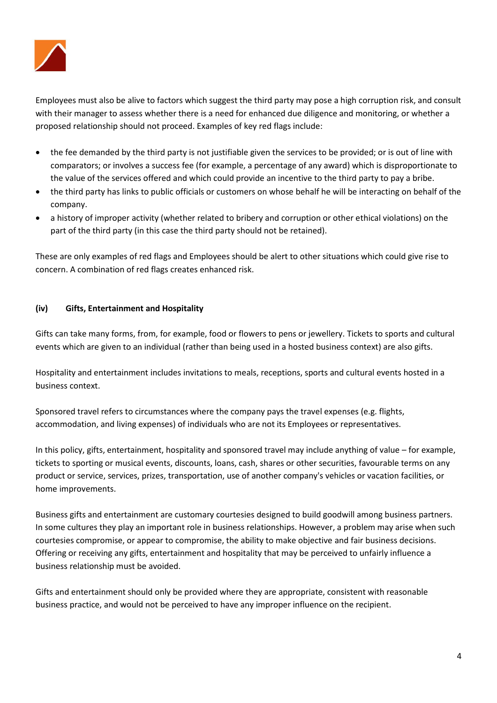

Employees must also be alive to factors which suggest the third party may pose a high corruption risk, and consult with their manager to assess whether there is a need for enhanced due diligence and monitoring, or whether a proposed relationship should not proceed. Examples of key red flags include:

- the fee demanded by the third party is not justifiable given the services to be provided; or is out of line with comparators; or involves a success fee (for example, a percentage of any award) which is disproportionate to the value of the services offered and which could provide an incentive to the third party to pay a bribe.
- the third party has links to public officials or customers on whose behalf he will be interacting on behalf of the company.
- a history of improper activity (whether related to bribery and corruption or other ethical violations) on the part of the third party (in this case the third party should not be retained).

These are only examples of red flags and Employees should be alert to other situations which could give rise to concern. A combination of red flags creates enhanced risk.

## **(iv) Gifts, Entertainment and Hospitality**

Gifts can take many forms, from, for example, food or flowers to pens or jewellery. Tickets to sports and cultural events which are given to an individual (rather than being used in a hosted business context) are also gifts.

Hospitality and entertainment includes invitations to meals, receptions, sports and cultural events hosted in a business context.

Sponsored travel refers to circumstances where the company pays the travel expenses (e.g. flights, accommodation, and living expenses) of individuals who are not its Employees or representatives.

In this policy, gifts, entertainment, hospitality and sponsored travel may include anything of value – for example, tickets to sporting or musical events, discounts, loans, cash, shares or other securities, favourable terms on any product or service, services, prizes, transportation, use of another company's vehicles or vacation facilities, or home improvements.

Business gifts and entertainment are customary courtesies designed to build goodwill among business partners. In some cultures they play an important role in business relationships. However, a problem may arise when such courtesies compromise, or appear to compromise, the ability to make objective and fair business decisions. Offering or receiving any gifts, entertainment and hospitality that may be perceived to unfairly influence a business relationship must be avoided.

Gifts and entertainment should only be provided where they are appropriate, consistent with reasonable business practice, and would not be perceived to have any improper influence on the recipient.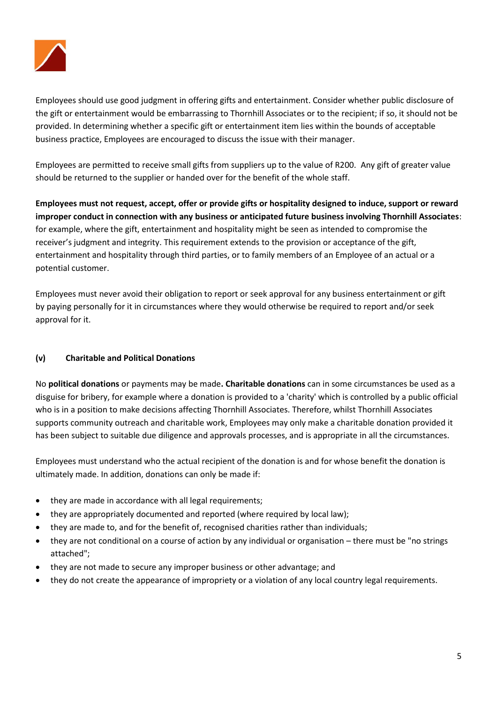

Employees should use good judgment in offering gifts and entertainment. Consider whether public disclosure of the gift or entertainment would be embarrassing to Thornhill Associates or to the recipient; if so, it should not be provided. In determining whether a specific gift or entertainment item lies within the bounds of acceptable business practice, Employees are encouraged to discuss the issue with their manager.

Employees are permitted to receive small gifts from suppliers up to the value of R200. Any gift of greater value should be returned to the supplier or handed over for the benefit of the whole staff.

**Employees must not request, accept, offer or provide gifts or hospitality designed to induce, support or reward improper conduct in connection with any business or anticipated future business involving Thornhill Associates**: for example, where the gift, entertainment and hospitality might be seen as intended to compromise the receiver's judgment and integrity. This requirement extends to the provision or acceptance of the gift, entertainment and hospitality through third parties, or to family members of an Employee of an actual or a potential customer.

Employees must never avoid their obligation to report or seek approval for any business entertainment or gift by paying personally for it in circumstances where they would otherwise be required to report and/or seek approval for it.

## **(v) Charitable and Political Donations**

No **political donations** or payments may be made**. Charitable donations** can in some circumstances be used as a disguise for bribery, for example where a donation is provided to a 'charity' which is controlled by a public official who is in a position to make decisions affecting Thornhill Associates. Therefore, whilst Thornhill Associates supports community outreach and charitable work, Employees may only make a charitable donation provided it has been subject to suitable due diligence and approvals processes, and is appropriate in all the circumstances.

Employees must understand who the actual recipient of the donation is and for whose benefit the donation is ultimately made. In addition, donations can only be made if:

- they are made in accordance with all legal requirements;
- they are appropriately documented and reported (where required by local law);
- they are made to, and for the benefit of, recognised charities rather than individuals;
- they are not conditional on a course of action by any individual or organisation there must be "no strings attached";
- they are not made to secure any improper business or other advantage; and
- they do not create the appearance of impropriety or a violation of any local country legal requirements.